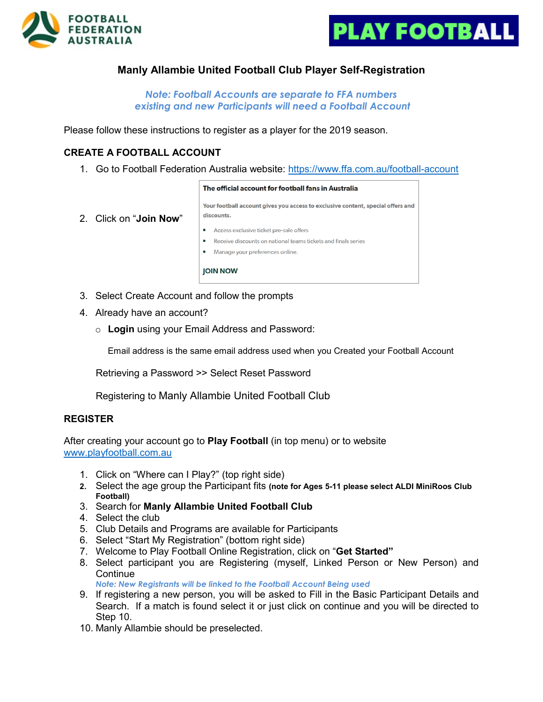



## **Manly Allambie United Football Club Player Self-Registration**

*Note: Football Accounts are separate to FFA numbers existing and new Participants will need a Football Account*

Please follow these instructions to register as a player for the 2019 season.

#### **CREATE A FOOTBALL ACCOUNT**

1. Go to Football Federation Australia website:<https://www.ffa.com.au/football-account>

```
The official account for football fans in Australia
Your football account gives you access to exclusive content, special offers and
discounts.
• Access exclusive ticket pre-sale offers
```
- 2. Click on "**Join Now**"
- Receive discounts on national teams tickets and finals series
- Manage your preferences online.

**IOIN NOW** 

- 3. Select Create Account and follow the prompts
- 4. Already have an account?
	- o **Login** using your Email Address and Password:

Email address is the same email address used when you Created your Football Account

Retrieving a Password >> Select Reset Password

Registering to Manly Allambie United Football Club

#### **REGISTER**

After creating your account go to **Play Football** (in top menu) or to website [www.playfootball.com.au](http://www.playfootball.com.au/)

- 1. Click on "Where can I Play?" (top right side)
- **2.** Select the age group the Participant fits **(note for Ages 5-11 please select ALDI MiniRoos Club Football)**
- 3. Search for **Manly Allambie United Football Club**
- 4. Select the club
- 5. Club Details and Programs are available for Participants
- 6. Select "Start My Registration" (bottom right side)
- 7. Welcome to Play Football Online Registration, click on "**Get Started"**
- 8. Select participant you are Registering (myself, Linked Person or New Person) and **Continue**

*Note: New Registrants will be linked to the Football Account Being used*

- 9. If registering a new person, you will be asked to Fill in the Basic Participant Details and Search. If a match is found select it or just click on continue and you will be directed to Step 10.
- 10. Manly Allambie should be preselected.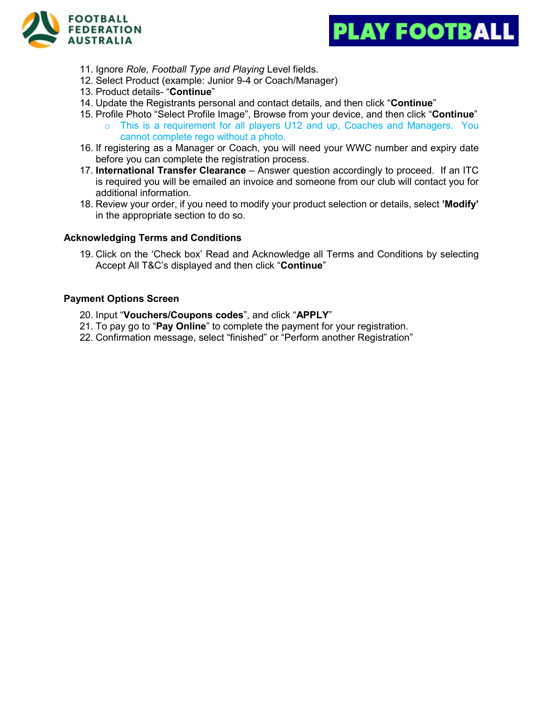



- 11. Ignore *Role, Football Type and Playing* Level fields.
- 12. Select Product (example: Junior 9-4 or Coach/Manager)
- 13. Product details- "**Continue**"
- 14. Update the Registrants personal and contact details, and then click "**Continue**"
- 15. Profile Photo "Select Profile Image", Browse from your device, and then click "**Continue**" o This is a requirement for all players U12 and up, Coaches and Managers. You cannot complete rego without a photo.
- 16. If registering as a Manager or Coach, you will need your WWC number and expiry date before you can complete the registration process.
- 17. **International Transfer Clearance** Answer question accordingly to proceed. If an ITC is required you will be emailed an invoice and someone from our club will contact you for additional information.
- 18. Review your order, if you need to modify your product selection or details, select **'Modify'**  in the appropriate section to do so.

#### **Acknowledging Terms and Conditions**

19. Click on the 'Check box' Read and Acknowledge all Terms and Conditions by selecting Accept All T&C's displayed and then click "**Continue**"

#### **Payment Options Screen**

- 20. Input "**Vouchers/Coupons codes**", and click "**APPLY**"
- 21. To pay go to "**Pay Online**" to complete the payment for your registration.
- 22. Confirmation message, select "finished" or "Perform another Registration"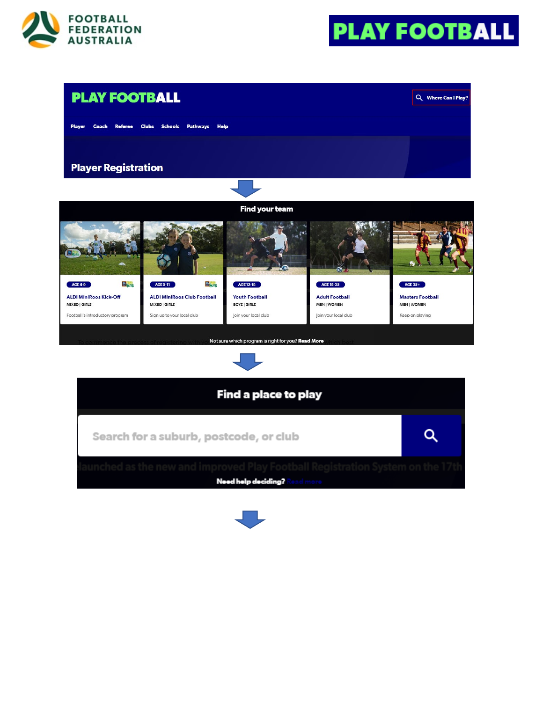





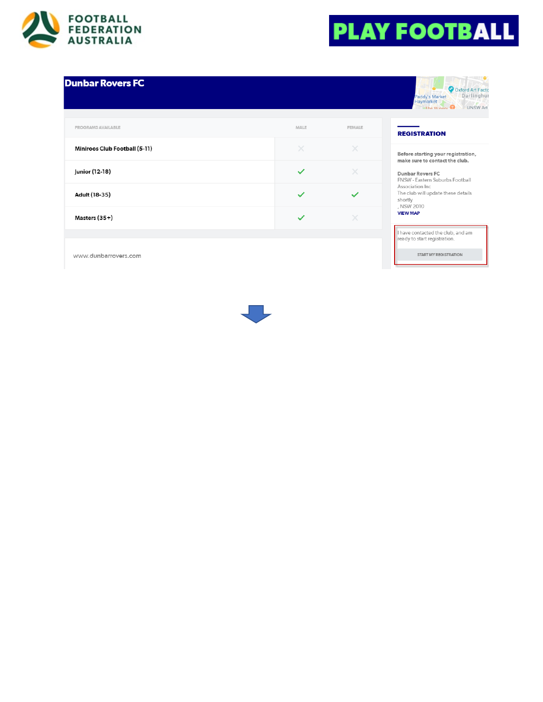

# **PLAY FOOTBALL**

## **Dunbar Rovers FC**

| PROGRAMS AVAILABLE            | MALE         | <b>FEMALE</b> |
|-------------------------------|--------------|---------------|
| Miniroos Club Football (5-11) | $\times$     | $\times$      |
| Junior (12-18)                | $\checkmark$ | ×             |
| Adult (18-35)                 | $\checkmark$ |               |
| Masters (35+)                 | $\checkmark$ | $\times$      |

|                             | O Oxford Art Fact |
|-----------------------------|-------------------|
| Paddy's Market<br>Haymarket | Darlinghu         |
| The Winery                  | <b>UNSW Art</b>   |

### **REGISTRATION**

Before starting your registration, make sure to contact the club.

Dunbar Rovers FC FNSW - Eastern Suburbs Football Association Inc The club will update these details<br>shortly , NSW 2010 **VIEW MAP** 

I have contacted the club, and am<br>ready to start registration.

START MY REGISTRATION

www.dunbarrovers.com